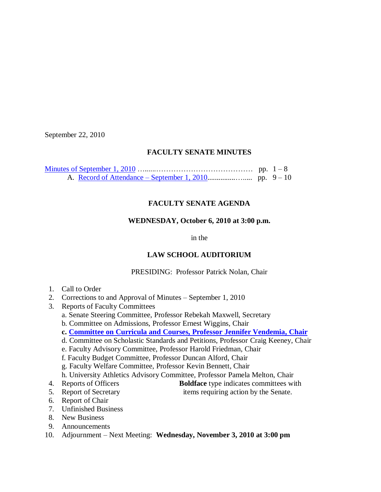September 22, 2010

## **FACULTY SENATE MINUTES**

## **FACULTY SENATE AGENDA**

#### **WEDNESDAY, October 6, 2010 at 3:00 p.m.**

in the

# **LAW SCHOOL AUDITORIUM**

#### PRESIDING: Professor Patrick Nolan, Chair

- 1. Call to Order
- 2. Corrections to and Approval of Minutes September 1, 2010
- 3. Reports of Faculty Committees
	- a. Senate Steering Committee, Professor Rebekah Maxwell, Secretary
	- b. Committee on Admissions, Professor Ernest Wiggins, Chair
	- **c. [Committee on Curricula and Courses, Professor](http://www.sc.edu/faculty/senate/10/agenda/1006.cc.pdf) Jennifer Vendemia, Chair**
	- d. Committee on Scholastic Standards and Petitions, Professor Craig Keeney, Chair
	- e. Faculty Advisory Committee, Professor Harold Friedman, Chair
	- f. Faculty Budget Committee, Professor Duncan Alford, Chair
	- g. Faculty Welfare Committee, Professor Kevin Bennett, Chair
	- h. University Athletics Advisory Committee, Professor Pamela Melton, Chair
- 4. Reports of Officers **Boldface** type indicates committees with
- 5. Report of Secretary items requiring action by the Senate.
- 6. Report of Chair
- 7. Unfinished Business
- 8. New Business
- 9. Announcements
- 10. Adjournment Next Meeting: **Wednesday, November 3, 2010 at 3:00 pm**